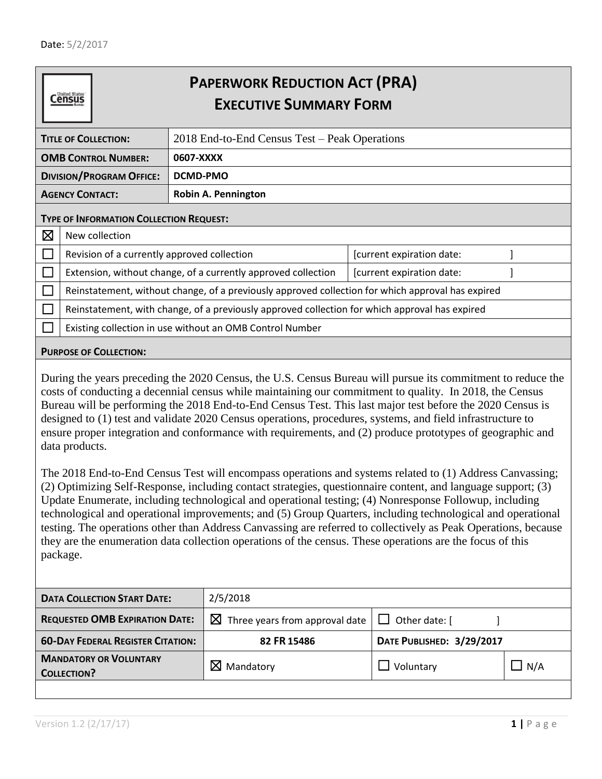**Census** 

## **PAPERWORK REDUCTION ACT (PRA) EXECUTIVE SUMMARY FORM**

<span id="page-0-1"></span><span id="page-0-0"></span>

| <b>TITLE OF COLLECTION:</b>     |                                                                                                   | 2018 End-to-End Census Test – Peak Operations                 |                           |  |  |  |  |  |
|---------------------------------|---------------------------------------------------------------------------------------------------|---------------------------------------------------------------|---------------------------|--|--|--|--|--|
| <b>OMB CONTROL NUMBER:</b>      |                                                                                                   | 0607-XXXX                                                     |                           |  |  |  |  |  |
| <b>DIVISION/PROGRAM OFFICE:</b> |                                                                                                   | DCMD-PMO                                                      |                           |  |  |  |  |  |
| <b>AGENCY CONTACT:</b>          |                                                                                                   | <b>Robin A. Pennington</b>                                    |                           |  |  |  |  |  |
|                                 | <b>TYPE OF INFORMATION COLLECTION REQUEST:</b>                                                    |                                                               |                           |  |  |  |  |  |
| $\boxtimes$                     | New collection                                                                                    |                                                               |                           |  |  |  |  |  |
|                                 | Revision of a currently approved collection                                                       |                                                               | [current expiration date: |  |  |  |  |  |
|                                 |                                                                                                   | Extension, without change, of a currently approved collection | [current expiration date: |  |  |  |  |  |
|                                 | Reinstatement, without change, of a previously approved collection for which approval has expired |                                                               |                           |  |  |  |  |  |
|                                 | Reinstatement, with change, of a previously approved collection for which approval has expired    |                                                               |                           |  |  |  |  |  |
|                                 | Existing collection in use without an OMB Control Number                                          |                                                               |                           |  |  |  |  |  |

## <span id="page-0-2"></span>**PURPOSE OF COLLECTION:**

During the years preceding the 2020 Census, the U.S. Census Bureau will pursue its commitment to reduce the costs of conducting a decennial census while maintaining our commitment to quality. In 2018, the Census Bureau will be performing the 2018 End-to-End Census Test. This last major test before the 2020 Census is designed to (1) test and validate 2020 Census operations, procedures, systems, and field infrastructure to ensure proper integration and conformance with requirements, and (2) produce prototypes of geographic and data products.

The 2018 End-to-End Census Test will encompass operations and systems related to (1) Address Canvassing; (2) Optimizing Self-Response, including contact strategies, questionnaire content, and language support; (3) Update Enumerate, including technological and operational testing; (4) Nonresponse Followup, including technological and operational improvements; and (5) Group Quarters, including technological and operational testing. The operations other than Address Canvassing are referred to collectively as Peak Operations, because they are the enumeration data collection operations of the census. These operations are the focus of this package.

<span id="page-0-4"></span><span id="page-0-3"></span>

| <b>DATA COLLECTION START DATE:</b>                  | 2/5/2018                                   |                           |     |  |  |
|-----------------------------------------------------|--------------------------------------------|---------------------------|-----|--|--|
| <b>REQUESTED OMB EXPIRATION DATE:</b>               | $\boxtimes$ Three years from approval date | $\Box$ Other date: $\Box$ |     |  |  |
| <b>60-DAY FEDERAL REGISTER CITATION:</b>            | 82 FR 15486                                | DATE PUBLISHED: 3/29/2017 |     |  |  |
| <b>MANDATORY OR VOLUNTARY</b><br><b>COLLECTION?</b> | $\boxtimes$ Mandatory                      | Voluntary                 | N/A |  |  |
|                                                     |                                            |                           |     |  |  |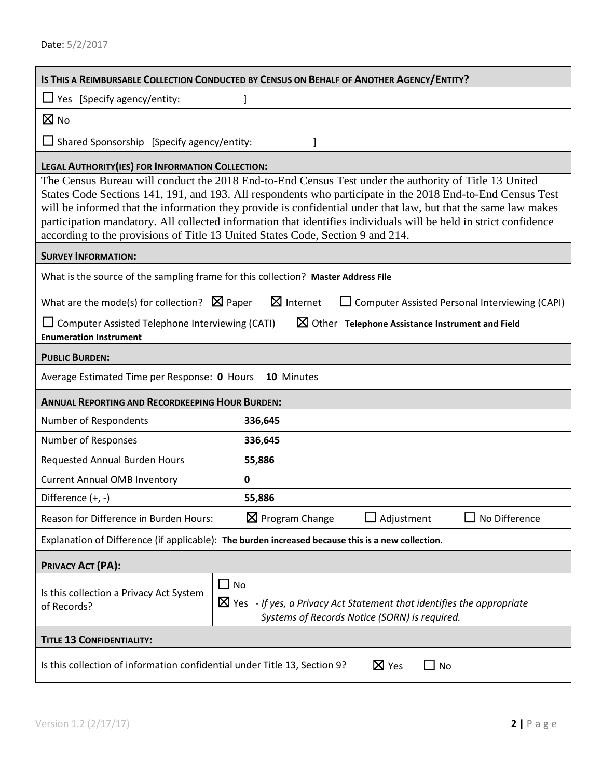<span id="page-1-12"></span><span id="page-1-11"></span><span id="page-1-10"></span><span id="page-1-9"></span><span id="page-1-8"></span><span id="page-1-7"></span><span id="page-1-6"></span><span id="page-1-5"></span><span id="page-1-4"></span><span id="page-1-3"></span><span id="page-1-2"></span><span id="page-1-1"></span><span id="page-1-0"></span>

| IS THIS A REIMBURSABLE COLLECTION CONDUCTED BY CENSUS ON BEHALF OF ANOTHER AGENCY/ENTITY?                                                                                                                                                                                                                                                                                                                                                                                                                                                   |                            |                                                             |  |  |  |  |
|---------------------------------------------------------------------------------------------------------------------------------------------------------------------------------------------------------------------------------------------------------------------------------------------------------------------------------------------------------------------------------------------------------------------------------------------------------------------------------------------------------------------------------------------|----------------------------|-------------------------------------------------------------|--|--|--|--|
| $\Box$ Yes [Specify agency/entity:                                                                                                                                                                                                                                                                                                                                                                                                                                                                                                          |                            |                                                             |  |  |  |  |
| $\boxtimes$ No                                                                                                                                                                                                                                                                                                                                                                                                                                                                                                                              |                            |                                                             |  |  |  |  |
| $\Box$ Shared Sponsorship [Specify agency/entity:                                                                                                                                                                                                                                                                                                                                                                                                                                                                                           |                            |                                                             |  |  |  |  |
| LEGAL AUTHORITY (IES) FOR INFORMATION COLLECTION:                                                                                                                                                                                                                                                                                                                                                                                                                                                                                           |                            |                                                             |  |  |  |  |
| The Census Bureau will conduct the 2018 End-to-End Census Test under the authority of Title 13 United<br>States Code Sections 141, 191, and 193. All respondents who participate in the 2018 End-to-End Census Test<br>will be informed that the information they provide is confidential under that law, but that the same law makes<br>participation mandatory. All collected information that identifies individuals will be held in strict confidence<br>according to the provisions of Title 13 United States Code, Section 9 and 214. |                            |                                                             |  |  |  |  |
| <b>SURVEY INFORMATION:</b>                                                                                                                                                                                                                                                                                                                                                                                                                                                                                                                  |                            |                                                             |  |  |  |  |
| What is the source of the sampling frame for this collection? Master Address File                                                                                                                                                                                                                                                                                                                                                                                                                                                           |                            |                                                             |  |  |  |  |
| What are the mode(s) for collection? $\boxtimes$ Paper                                                                                                                                                                                                                                                                                                                                                                                                                                                                                      | $\boxtimes$ Internet       | Computer Assisted Personal Interviewing (CAPI)              |  |  |  |  |
| $\Box$ Computer Assisted Telephone Interviewing (CATI)<br><b>Enumeration Instrument</b>                                                                                                                                                                                                                                                                                                                                                                                                                                                     |                            | $\boxtimes$ Other Telephone Assistance Instrument and Field |  |  |  |  |
| <b>PUBLIC BURDEN:</b>                                                                                                                                                                                                                                                                                                                                                                                                                                                                                                                       |                            |                                                             |  |  |  |  |
| Average Estimated Time per Response: 0 Hours                                                                                                                                                                                                                                                                                                                                                                                                                                                                                                | 10 Minutes                 |                                                             |  |  |  |  |
| <b>ANNUAL REPORTING AND RECORDKEEPING HOUR BURDEN:</b>                                                                                                                                                                                                                                                                                                                                                                                                                                                                                      |                            |                                                             |  |  |  |  |
| Number of Respondents                                                                                                                                                                                                                                                                                                                                                                                                                                                                                                                       | 336,645                    |                                                             |  |  |  |  |
| Number of Responses                                                                                                                                                                                                                                                                                                                                                                                                                                                                                                                         | 336,645                    |                                                             |  |  |  |  |
| <b>Requested Annual Burden Hours</b>                                                                                                                                                                                                                                                                                                                                                                                                                                                                                                        | 55,886                     |                                                             |  |  |  |  |
| <b>Current Annual OMB Inventory</b>                                                                                                                                                                                                                                                                                                                                                                                                                                                                                                         | $\mathbf 0$                |                                                             |  |  |  |  |
| Difference $(+, -)$                                                                                                                                                                                                                                                                                                                                                                                                                                                                                                                         | 55,886                     |                                                             |  |  |  |  |
| Reason for Difference in Burden Hours:                                                                                                                                                                                                                                                                                                                                                                                                                                                                                                      | $\boxtimes$ Program Change | $\Box$ Adjustment<br>No Difference                          |  |  |  |  |
| Explanation of Difference (if applicable): The burden increased because this is a new collection.                                                                                                                                                                                                                                                                                                                                                                                                                                           |                            |                                                             |  |  |  |  |
| <b>PRIVACY ACT (PA):</b>                                                                                                                                                                                                                                                                                                                                                                                                                                                                                                                    |                            |                                                             |  |  |  |  |
| $\Box$ No<br>Is this collection a Privacy Act System<br>$\boxtimes$ Yes - If yes, a Privacy Act Statement that identifies the appropriate<br>of Records?<br>Systems of Records Notice (SORN) is required.                                                                                                                                                                                                                                                                                                                                   |                            |                                                             |  |  |  |  |
| <b>TITLE 13 CONFIDENTIALITY:</b>                                                                                                                                                                                                                                                                                                                                                                                                                                                                                                            |                            |                                                             |  |  |  |  |
| $\boxtimes$ Yes<br>Is this collection of information confidential under Title 13, Section 9?<br>$\sqcup$ No                                                                                                                                                                                                                                                                                                                                                                                                                                 |                            |                                                             |  |  |  |  |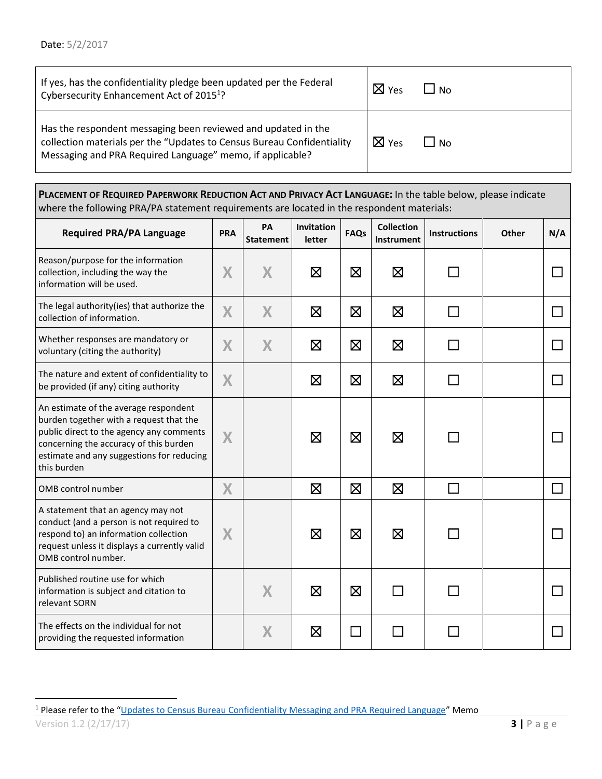<span id="page-2-0"></span>

| If yes, has the confidentiality pledge been updated per the Federal<br>Cybersecurity Enhancement Act of 2015 <sup>1</sup> ?                                                                          | $\boxtimes$ Yes | $\cdot$ IN <sub>O</sub> |
|------------------------------------------------------------------------------------------------------------------------------------------------------------------------------------------------------|-----------------|-------------------------|
| Has the respondent messaging been reviewed and updated in the<br>collection materials per the "Updates to Census Bureau Confidentiality<br>Messaging and PRA Required Language" memo, if applicable? | $\boxtimes$ Yes | l No                    |

<span id="page-2-3"></span><span id="page-2-1"></span>P[LACEMENT OF](#page-2-1) REQUIRED PAPERWORK REDUCTION ACT AND PRIVACY ACT LANGUAGE: In the table below, please indicate where the following PRA/PA statement requirements are located in the respondent materials:

<span id="page-2-2"></span>

| <b>Required PRA/PA Language</b>                                                                                                                                                                                                    | <b>PRA</b> | PA<br><b>Statement</b> | Invitation<br>letter | <b>FAQs</b> | <b>Collection</b><br>Instrument | <b>Instructions</b> | Other | N/A |
|------------------------------------------------------------------------------------------------------------------------------------------------------------------------------------------------------------------------------------|------------|------------------------|----------------------|-------------|---------------------------------|---------------------|-------|-----|
| Reason/purpose for the information<br>collection, including the way the<br>information will be used.                                                                                                                               | X          | X                      | $\boxtimes$          | $\boxtimes$ | $\boxtimes$                     |                     |       |     |
| The legal authority(ies) that authorize the<br>collection of information.                                                                                                                                                          | X          | X                      | $\boxtimes$          | $\boxtimes$ | $\boxtimes$                     |                     |       |     |
| Whether responses are mandatory or<br>voluntary (citing the authority)                                                                                                                                                             | X          | X                      | $\boxtimes$          | $\boxtimes$ | $\boxtimes$                     |                     |       |     |
| The nature and extent of confidentiality to<br>be provided (if any) citing authority                                                                                                                                               | X          |                        | $\boxtimes$          | $\boxtimes$ | $\boxtimes$                     |                     |       |     |
| An estimate of the average respondent<br>burden together with a request that the<br>public direct to the agency any comments<br>concerning the accuracy of this burden<br>estimate and any suggestions for reducing<br>this burden | X          |                        | $\boxtimes$          | $\boxtimes$ | $\boxtimes$                     |                     |       |     |
| OMB control number                                                                                                                                                                                                                 | X          |                        | $\boxtimes$          | $\boxtimes$ | $\boxtimes$                     | $\Box$              |       |     |
| A statement that an agency may not<br>conduct (and a person is not required to<br>respond to) an information collection<br>request unless it displays a currently valid<br>OMB control number.                                     | X          |                        | $\boxtimes$          | $\boxtimes$ | $\boxtimes$                     |                     |       |     |
| Published routine use for which<br>information is subject and citation to<br>relevant SORN                                                                                                                                         |            | X                      | $\boxtimes$          | $\boxtimes$ |                                 |                     |       |     |
| The effects on the individual for not<br>providing the requested information                                                                                                                                                       |            | X                      | $\boxtimes$          |             |                                 |                     |       |     |

 $\overline{\phantom{a}}$ 

Version 1.2 (2/17/17) **3 |** P a g e <sup>1</sup> Please refer to the "<u>[Updates to Census Bureau Confidentiality Messaging and PRA Required Language](https://collab.ecm.census.gov/div/pco/PDSIntranet/Documents/FINAL%20-%20Updates%20to%20Wording%20of%20Legally%20Required%20Statements_1-27-2017.pdf)</u>" Memo